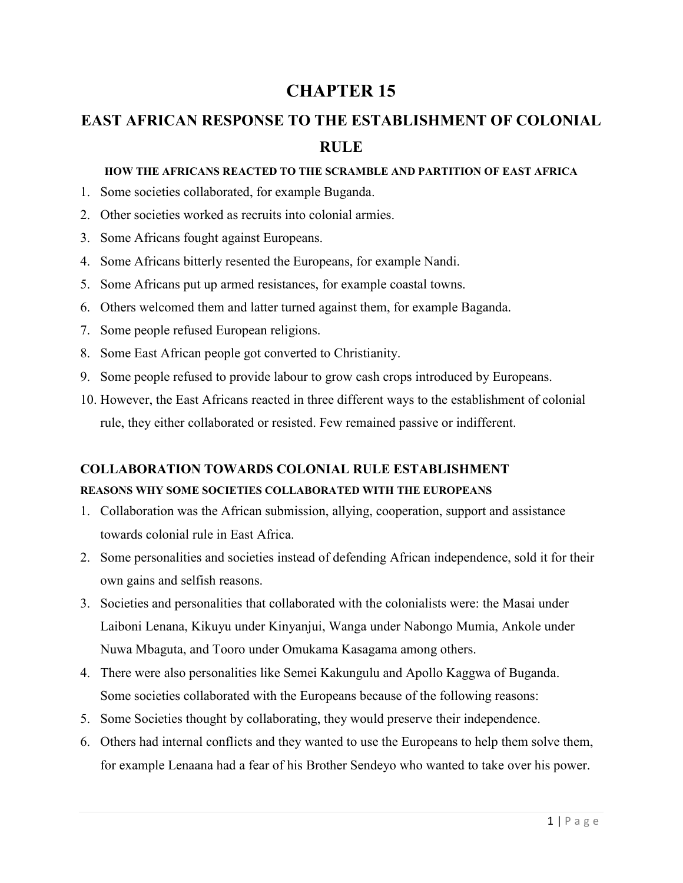## **CHAPTER 15**

# **EAST AFRICAN RESPONSE TO THE ESTABLISHMENT OF COLONIAL RULE**

#### **HOW THE AFRICANS REACTED TO THE SCRAMBLE AND PARTITION OF EAST AFRICA**

- 1. Some societies collaborated, for example Buganda.
- 2. Other societies worked as recruits into colonial armies.
- 3. Some Africans fought against Europeans.
- 4. Some Africans bitterly resented the Europeans, for example Nandi.
- 5. Some Africans put up armed resistances, for example coastal towns.
- 6. Others welcomed them and latter turned against them, for example Baganda.
- 7. Some people refused European religions.
- 8. Some East African people got converted to Christianity.
- 9. Some people refused to provide labour to grow cash crops introduced by Europeans.
- 10. However, the East Africans reacted in three different ways to the establishment of colonial rule, they either collaborated or resisted. Few remained passive or indifferent.

## **COLLABORATION TOWARDS COLONIAL RULE ESTABLISHMENT**

## **REASONS WHY SOME SOCIETIES COLLABORATED WITH THE EUROPEANS**

- 1. Collaboration was the African submission, allying, cooperation, support and assistance towards colonial rule in East Africa.
- 2. Some personalities and societies instead of defending African independence, sold it for their own gains and selfish reasons.
- 3. Societies and personalities that collaborated with the colonialists were: the Masai under Laiboni Lenana, Kikuyu under Kinyanjui, Wanga under Nabongo Mumia, Ankole under Nuwa Mbaguta, and Tooro under Omukama Kasagama among others.
- 4. There were also personalities like Semei Kakungulu and Apollo Kaggwa of Buganda. Some societies collaborated with the Europeans because of the following reasons:
- 5. Some Societies thought by collaborating, they would preserve their independence.
- 6. Others had internal conflicts and they wanted to use the Europeans to help them solve them, for example Lenaana had a fear of his Brother Sendeyo who wanted to take over his power.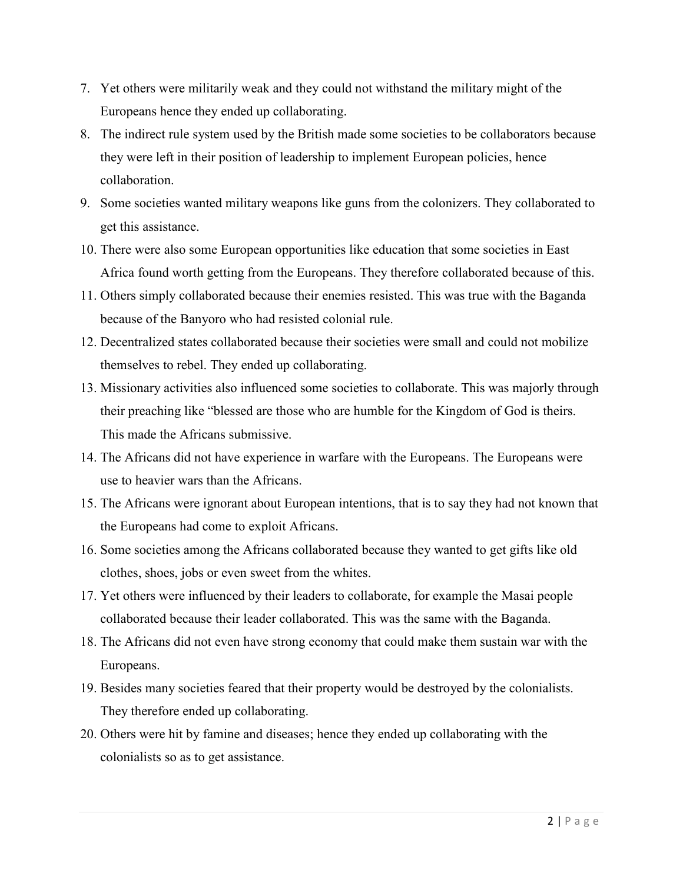- 7. Yet others were militarily weak and they could not withstand the military might of the Europeans hence they ended up collaborating.
- 8. The indirect rule system used by the British made some societies to be collaborators because they were left in their position of leadership to implement European policies, hence collaboration.
- 9. Some societies wanted military weapons like guns from the colonizers. They collaborated to get this assistance.
- 10. There were also some European opportunities like education that some societies in East Africa found worth getting from the Europeans. They therefore collaborated because of this.
- 11. Others simply collaborated because their enemies resisted. This was true with the Baganda because of the Banyoro who had resisted colonial rule.
- 12. Decentralized states collaborated because their societies were small and could not mobilize themselves to rebel. They ended up collaborating.
- 13. Missionary activities also influenced some societies to collaborate. This was majorly through their preaching like "blessed are those who are humble for the Kingdom of God is theirs. This made the Africans submissive.
- 14. The Africans did not have experience in warfare with the Europeans. The Europeans were use to heavier wars than the Africans.
- 15. The Africans were ignorant about European intentions, that is to say they had not known that the Europeans had come to exploit Africans.
- 16. Some societies among the Africans collaborated because they wanted to get gifts like old clothes, shoes, jobs or even sweet from the whites.
- 17. Yet others were influenced by their leaders to collaborate, for example the Masai people collaborated because their leader collaborated. This was the same with the Baganda.
- 18. The Africans did not even have strong economy that could make them sustain war with the Europeans.
- 19. Besides many societies feared that their property would be destroyed by the colonialists. They therefore ended up collaborating.
- 20. Others were hit by famine and diseases; hence they ended up collaborating with the colonialists so as to get assistance.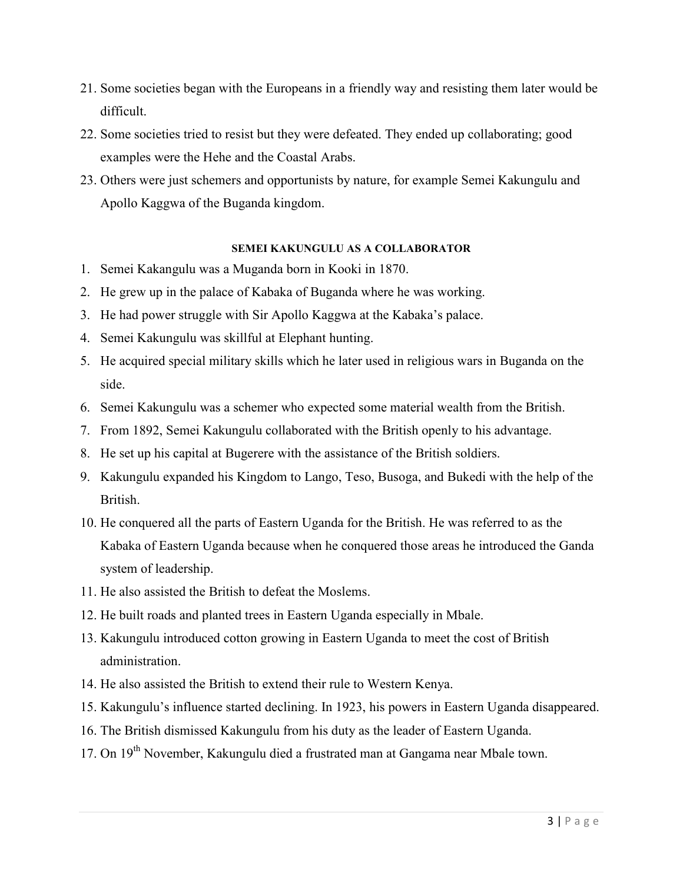- 21. Some societies began with the Europeans in a friendly way and resisting them later would be difficult.
- 22. Some societies tried to resist but they were defeated. They ended up collaborating; good examples were the Hehe and the Coastal Arabs.
- 23. Others were just schemers and opportunists by nature, for example Semei Kakungulu and Apollo Kaggwa of the Buganda kingdom.

#### **SEMEI KAKUNGULU AS A COLLABORATOR**

- 1. Semei Kakangulu was a Muganda born in Kooki in 1870.
- 2. He grew up in the palace of Kabaka of Buganda where he was working.
- 3. He had power struggle with Sir Apollo Kaggwa at the Kabaka's palace.
- 4. Semei Kakungulu was skillful at Elephant hunting.
- 5. He acquired special military skills which he later used in religious wars in Buganda on the side.
- 6. Semei Kakungulu was a schemer who expected some material wealth from the British.
- 7. From 1892, Semei Kakungulu collaborated with the British openly to his advantage.
- 8. He set up his capital at Bugerere with the assistance of the British soldiers.
- 9. Kakungulu expanded his Kingdom to Lango, Teso, Busoga, and Bukedi with the help of the British.
- 10. He conquered all the parts of Eastern Uganda for the British. He was referred to as the Kabaka of Eastern Uganda because when he conquered those areas he introduced the Ganda system of leadership.
- 11. He also assisted the British to defeat the Moslems.
- 12. He built roads and planted trees in Eastern Uganda especially in Mbale.
- 13. Kakungulu introduced cotton growing in Eastern Uganda to meet the cost of British administration.
- 14. He also assisted the British to extend their rule to Western Kenya.
- 15. Kakungulu's influence started declining. In 1923, his powers in Eastern Uganda disappeared.
- 16. The British dismissed Kakungulu from his duty as the leader of Eastern Uganda.
- 17. On 19<sup>th</sup> November, Kakungulu died a frustrated man at Gangama near Mbale town.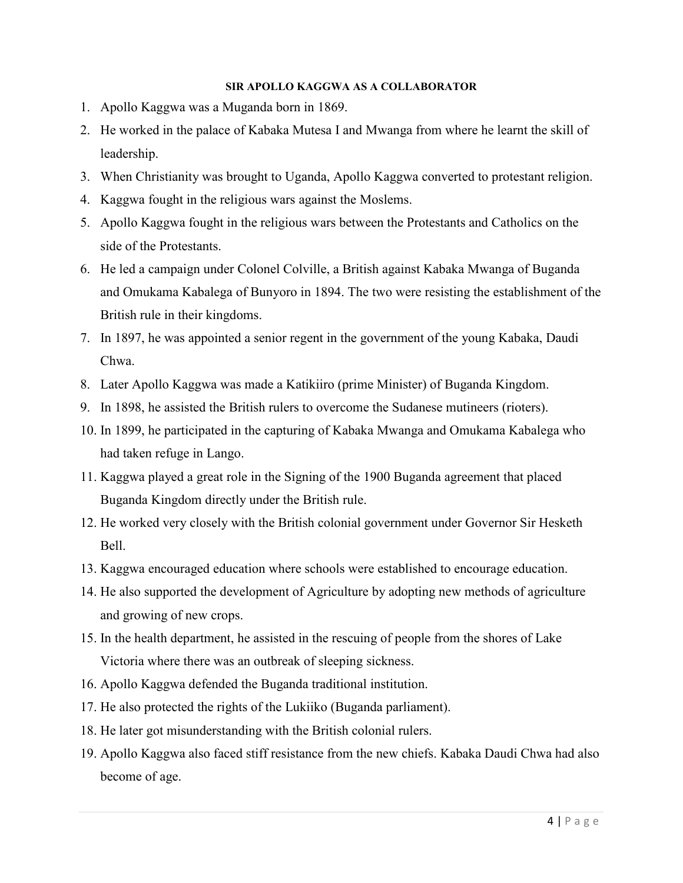#### **SIR APOLLO KAGGWA AS A COLLABORATOR**

- 1. Apollo Kaggwa was a Muganda born in 1869.
- 2. He worked in the palace of Kabaka Mutesa I and Mwanga from where he learnt the skill of leadership.
- 3. When Christianity was brought to Uganda, Apollo Kaggwa converted to protestant religion.
- 4. Kaggwa fought in the religious wars against the Moslems.
- 5. Apollo Kaggwa fought in the religious wars between the Protestants and Catholics on the side of the Protestants.
- 6. He led a campaign under Colonel Colville, a British against Kabaka Mwanga of Buganda and Omukama Kabalega of Bunyoro in 1894. The two were resisting the establishment of the British rule in their kingdoms.
- 7. In 1897, he was appointed a senior regent in the government of the young Kabaka, Daudi Chwa.
- 8. Later Apollo Kaggwa was made a Katikiiro (prime Minister) of Buganda Kingdom.
- 9. In 1898, he assisted the British rulers to overcome the Sudanese mutineers (rioters).
- 10. In 1899, he participated in the capturing of Kabaka Mwanga and Omukama Kabalega who had taken refuge in Lango.
- 11. Kaggwa played a great role in the Signing of the 1900 Buganda agreement that placed Buganda Kingdom directly under the British rule.
- 12. He worked very closely with the British colonial government under Governor Sir Hesketh Bell.
- 13. Kaggwa encouraged education where schools were established to encourage education.
- 14. He also supported the development of Agriculture by adopting new methods of agriculture and growing of new crops.
- 15. In the health department, he assisted in the rescuing of people from the shores of Lake Victoria where there was an outbreak of sleeping sickness.
- 16. Apollo Kaggwa defended the Buganda traditional institution.
- 17. He also protected the rights of the Lukiiko (Buganda parliament).
- 18. He later got misunderstanding with the British colonial rulers.
- 19. Apollo Kaggwa also faced stiff resistance from the new chiefs. Kabaka Daudi Chwa had also become of age.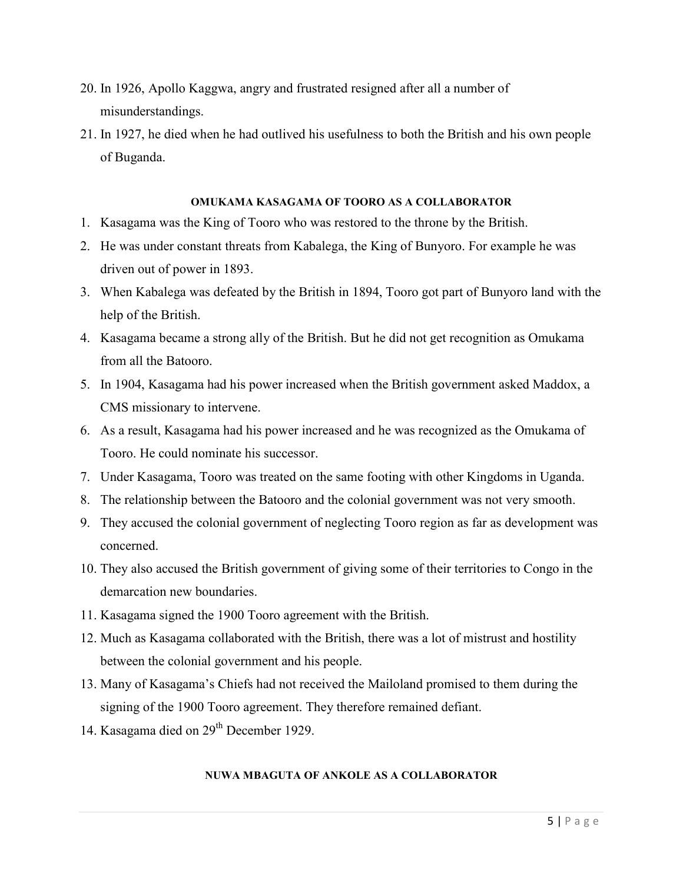- 20. In 1926, Apollo Kaggwa, angry and frustrated resigned after all a number of misunderstandings.
- 21. In 1927, he died when he had outlived his usefulness to both the British and his own people of Buganda.

#### **OMUKAMA KASAGAMA OF TOORO AS A COLLABORATOR**

- 1. Kasagama was the King of Tooro who was restored to the throne by the British.
- 2. He was under constant threats from Kabalega, the King of Bunyoro. For example he was driven out of power in 1893.
- 3. When Kabalega was defeated by the British in 1894, Tooro got part of Bunyoro land with the help of the British.
- 4. Kasagama became a strong ally of the British. But he did not get recognition as Omukama from all the Batooro.
- 5. In 1904, Kasagama had his power increased when the British government asked Maddox, a CMS missionary to intervene.
- 6. As a result, Kasagama had his power increased and he was recognized as the Omukama of Tooro. He could nominate his successor.
- 7. Under Kasagama, Tooro was treated on the same footing with other Kingdoms in Uganda.
- 8. The relationship between the Batooro and the colonial government was not very smooth.
- 9. They accused the colonial government of neglecting Tooro region as far as development was concerned.
- 10. They also accused the British government of giving some of their territories to Congo in the demarcation new boundaries.
- 11. Kasagama signed the 1900 Tooro agreement with the British.
- 12. Much as Kasagama collaborated with the British, there was a lot of mistrust and hostility between the colonial government and his people.
- 13. Many of Kasagama's Chiefs had not received the Mailoland promised to them during the signing of the 1900 Tooro agreement. They therefore remained defiant.
- 14. Kasagama died on 29<sup>th</sup> December 1929.

#### **NUWA MBAGUTA OF ANKOLE AS A COLLABORATOR**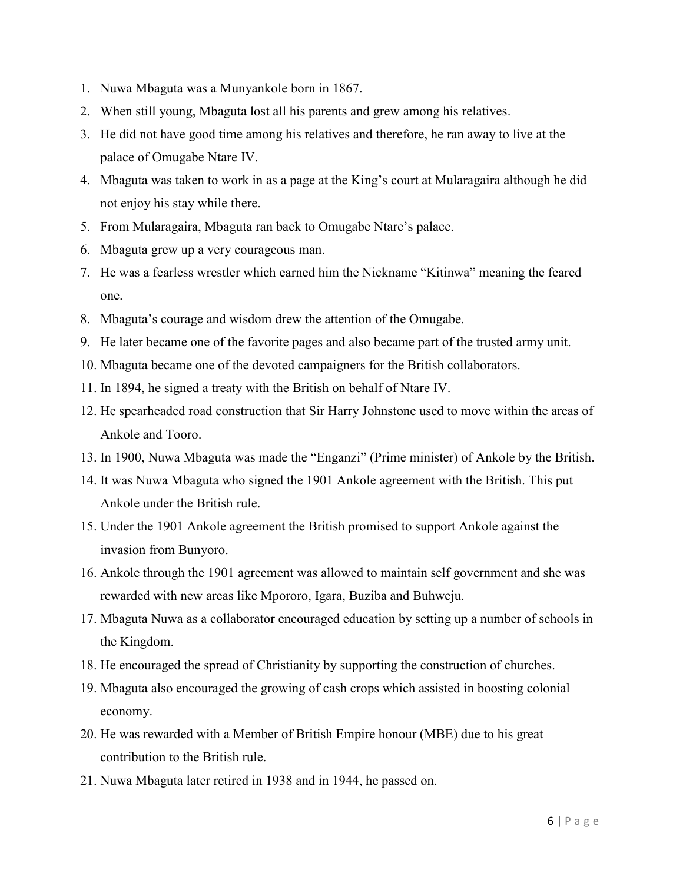- 1. Nuwa Mbaguta was a Munyankole born in 1867.
- 2. When still young, Mbaguta lost all his parents and grew among his relatives.
- 3. He did not have good time among his relatives and therefore, he ran away to live at the palace of Omugabe Ntare IV.
- 4. Mbaguta was taken to work in as a page at the King's court at Mularagaira although he did not enjoy his stay while there.
- 5. From Mularagaira, Mbaguta ran back to Omugabe Ntare's palace.
- 6. Mbaguta grew up a very courageous man.
- 7. He was a fearless wrestler which earned him the Nickname "Kitinwa" meaning the feared one.
- 8. Mbaguta's courage and wisdom drew the attention of the Omugabe.
- 9. He later became one of the favorite pages and also became part of the trusted army unit.
- 10. Mbaguta became one of the devoted campaigners for the British collaborators.
- 11. In 1894, he signed a treaty with the British on behalf of Ntare IV.
- 12. He spearheaded road construction that Sir Harry Johnstone used to move within the areas of Ankole and Tooro.
- 13. In 1900, Nuwa Mbaguta was made the "Enganzi" (Prime minister) of Ankole by the British.
- 14. It was Nuwa Mbaguta who signed the 1901 Ankole agreement with the British. This put Ankole under the British rule.
- 15. Under the 1901 Ankole agreement the British promised to support Ankole against the invasion from Bunyoro.
- 16. Ankole through the 1901 agreement was allowed to maintain self government and she was rewarded with new areas like Mpororo, Igara, Buziba and Buhweju.
- 17. Mbaguta Nuwa as a collaborator encouraged education by setting up a number of schools in the Kingdom.
- 18. He encouraged the spread of Christianity by supporting the construction of churches.
- 19. Mbaguta also encouraged the growing of cash crops which assisted in boosting colonial economy.
- 20. He was rewarded with a Member of British Empire honour (MBE) due to his great contribution to the British rule.
- 21. Nuwa Mbaguta later retired in 1938 and in 1944, he passed on.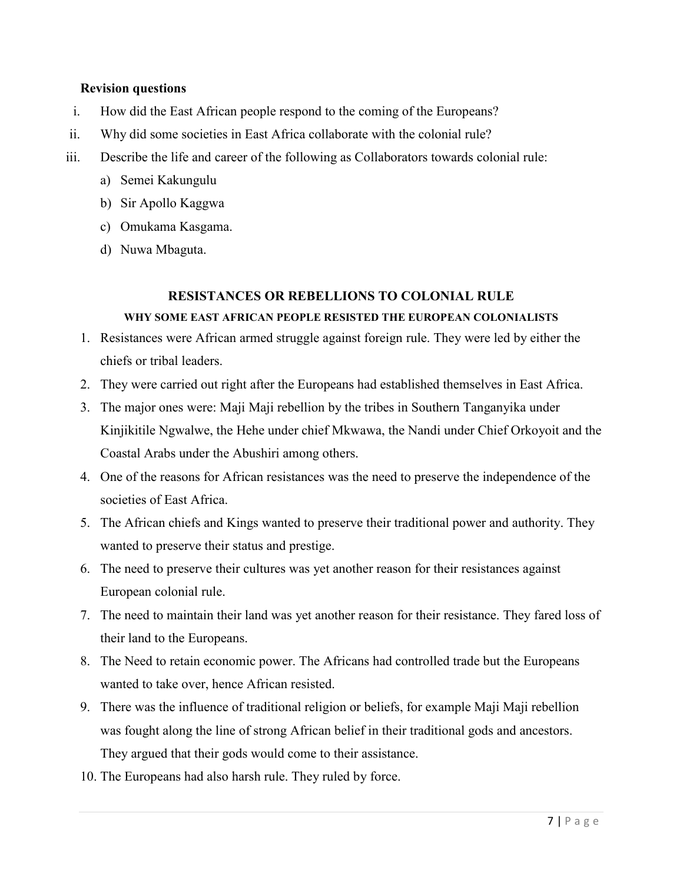### **Revision questions**

- i. How did the East African people respond to the coming of the Europeans?
- ii. Why did some societies in East Africa collaborate with the colonial rule?
- iii. Describe the life and career of the following as Collaborators towards colonial rule:
	- a) Semei Kakungulu
	- b) Sir Apollo Kaggwa
	- c) Omukama Kasgama.
	- d) Nuwa Mbaguta.

## **RESISTANCES OR REBELLIONS TO COLONIAL RULE**

## **WHY SOME EAST AFRICAN PEOPLE RESISTED THE EUROPEAN COLONIALISTS**

- 1. Resistances were African armed struggle against foreign rule. They were led by either the chiefs or tribal leaders.
- 2. They were carried out right after the Europeans had established themselves in East Africa.
- 3. The major ones were: Maji Maji rebellion by the tribes in Southern Tanganyika under Kinjikitile Ngwalwe, the Hehe under chief Mkwawa, the Nandi under Chief Orkoyoit and the Coastal Arabs under the Abushiri among others.
- 4. One of the reasons for African resistances was the need to preserve the independence of the societies of East Africa.
- 5. The African chiefs and Kings wanted to preserve their traditional power and authority. They wanted to preserve their status and prestige.
- 6. The need to preserve their cultures was yet another reason for their resistances against European colonial rule.
- 7. The need to maintain their land was yet another reason for their resistance. They fared loss of their land to the Europeans.
- 8. The Need to retain economic power. The Africans had controlled trade but the Europeans wanted to take over, hence African resisted.
- 9. There was the influence of traditional religion or beliefs, for example Maji Maji rebellion was fought along the line of strong African belief in their traditional gods and ancestors. They argued that their gods would come to their assistance.
- 10. The Europeans had also harsh rule. They ruled by force.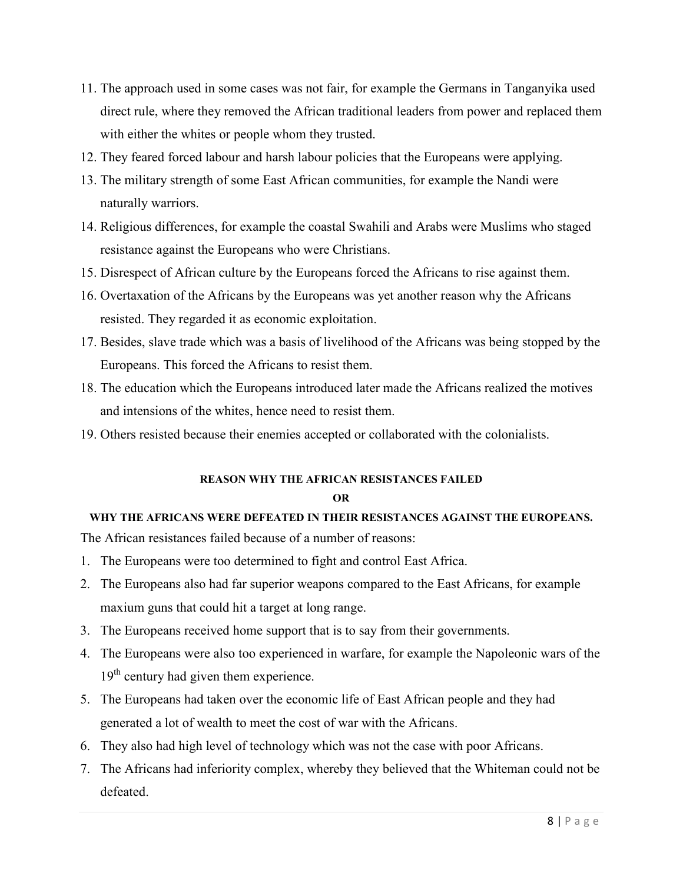- 11. The approach used in some cases was not fair, for example the Germans in Tanganyika used direct rule, where they removed the African traditional leaders from power and replaced them with either the whites or people whom they trusted.
- 12. They feared forced labour and harsh labour policies that the Europeans were applying.
- 13. The military strength of some East African communities, for example the Nandi were naturally warriors.
- 14. Religious differences, for example the coastal Swahili and Arabs were Muslims who staged resistance against the Europeans who were Christians.
- 15. Disrespect of African culture by the Europeans forced the Africans to rise against them.
- 16. Overtaxation of the Africans by the Europeans was yet another reason why the Africans resisted. They regarded it as economic exploitation.
- 17. Besides, slave trade which was a basis of livelihood of the Africans was being stopped by the Europeans. This forced the Africans to resist them.
- 18. The education which the Europeans introduced later made the Africans realized the motives and intensions of the whites, hence need to resist them.
- 19. Others resisted because their enemies accepted or collaborated with the colonialists.

# **REASON WHY THE AFRICAN RESISTANCES FAILED**

#### **OR**

## **WHY THE AFRICANS WERE DEFEATED IN THEIR RESISTANCES AGAINST THE EUROPEANS.**

The African resistances failed because of a number of reasons:

- 1. The Europeans were too determined to fight and control East Africa.
- 2. The Europeans also had far superior weapons compared to the East Africans, for example maxium guns that could hit a target at long range.
- 3. The Europeans received home support that is to say from their governments.
- 4. The Europeans were also too experienced in warfare, for example the Napoleonic wars of the 19<sup>th</sup> century had given them experience.
- 5. The Europeans had taken over the economic life of East African people and they had generated a lot of wealth to meet the cost of war with the Africans.
- 6. They also had high level of technology which was not the case with poor Africans.
- 7. The Africans had inferiority complex, whereby they believed that the Whiteman could not be defeated.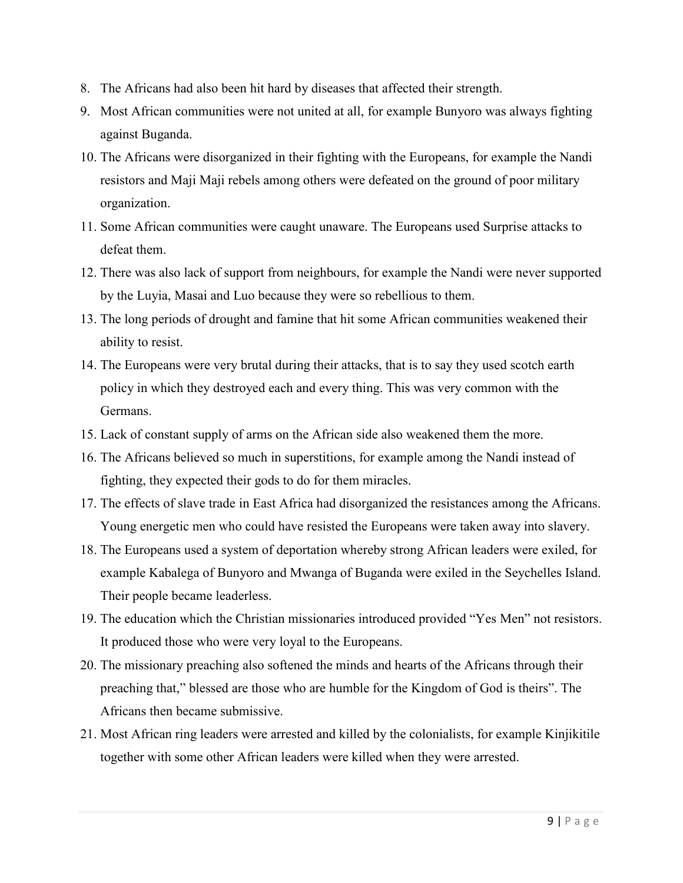- 8. The Africans had also been hit hard by diseases that affected their strength.
- 9. Most African communities were not united at all, for example Bunyoro was always fighting against Buganda.
- 10. The Africans were disorganized in their fighting with the Europeans, for example the Nandi resistors and Maji Maji rebels among others were defeated on the ground of poor military organization.
- 11. Some African communities were caught unaware. The Europeans used Surprise attacks to defeat them.
- 12. There was also lack of support from neighbours, for example the Nandi were never supported by the Luyia, Masai and Luo because they were so rebellious to them.
- 13. The long periods of drought and famine that hit some African communities weakened their ability to resist.
- 14. The Europeans were very brutal during their attacks, that is to say they used scotch earth policy in which they destroyed each and every thing. This was very common with the Germans.
- 15. Lack of constant supply of arms on the African side also weakened them the more.
- 16. The Africans believed so much in superstitions, for example among the Nandi instead of fighting, they expected their gods to do for them miracles.
- 17. The effects of slave trade in East Africa had disorganized the resistances among the Africans. Young energetic men who could have resisted the Europeans were taken away into slavery.
- 18. The Europeans used a system of deportation whereby strong African leaders were exiled, for example Kabalega of Bunyoro and Mwanga of Buganda were exiled in the Seychelles Island. Their people became leaderless.
- 19. The education which the Christian missionaries introduced provided "Yes Men" not resistors. It produced those who were very loyal to the Europeans.
- 20. The missionary preaching also softened the minds and hearts of the Africans through their preaching that," blessed are those who are humble for the Kingdom of God is theirs". The Africans then became submissive.
- 21. Most African ring leaders were arrested and killed by the colonialists, for example Kinjikitile together with some other African leaders were killed when they were arrested.